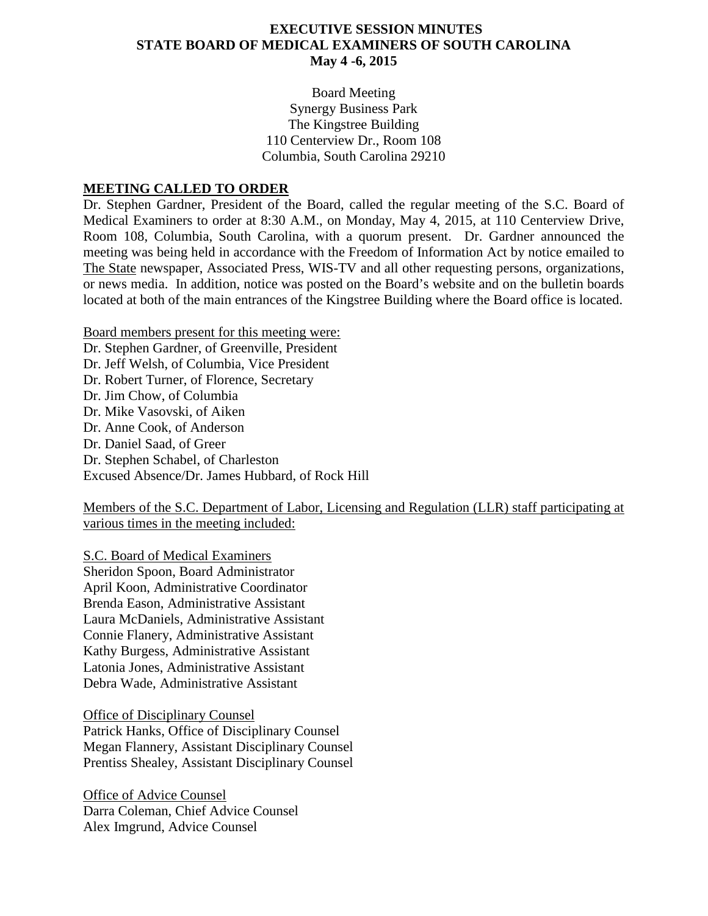### **EXECUTIVE SESSION MINUTES STATE BOARD OF MEDICAL EXAMINERS OF SOUTH CAROLINA May 4 -6, 2015**

Board Meeting Synergy Business Park The Kingstree Building 110 Centerview Dr., Room 108 Columbia, South Carolina 29210

#### **MEETING CALLED TO ORDER**

Dr. Stephen Gardner, President of the Board, called the regular meeting of the S.C. Board of Medical Examiners to order at 8:30 A.M., on Monday, May 4, 2015, at 110 Centerview Drive, Room 108, Columbia, South Carolina, with a quorum present. Dr. Gardner announced the meeting was being held in accordance with the Freedom of Information Act by notice emailed to The State newspaper, Associated Press, WIS-TV and all other requesting persons, organizations, or news media. In addition, notice was posted on the Board's website and on the bulletin boards located at both of the main entrances of the Kingstree Building where the Board office is located.

Board members present for this meeting were: Dr. Stephen Gardner, of Greenville, President Dr. Jeff Welsh, of Columbia, Vice President Dr. Robert Turner, of Florence, Secretary Dr. Jim Chow, of Columbia Dr. Mike Vasovski, of Aiken Dr. Anne Cook, of Anderson Dr. Daniel Saad, of Greer Dr. Stephen Schabel, of Charleston Excused Absence/Dr. James Hubbard, of Rock Hill

Members of the S.C. Department of Labor, Licensing and Regulation (LLR) staff participating at various times in the meeting included:

S.C. Board of Medical Examiners Sheridon Spoon, Board Administrator April Koon, Administrative Coordinator Brenda Eason, Administrative Assistant Laura McDaniels, Administrative Assistant Connie Flanery, Administrative Assistant Kathy Burgess, Administrative Assistant Latonia Jones, Administrative Assistant Debra Wade, Administrative Assistant

Office of Disciplinary Counsel Patrick Hanks, Office of Disciplinary Counsel Megan Flannery, Assistant Disciplinary Counsel Prentiss Shealey, Assistant Disciplinary Counsel

Office of Advice Counsel Darra Coleman, Chief Advice Counsel Alex Imgrund, Advice Counsel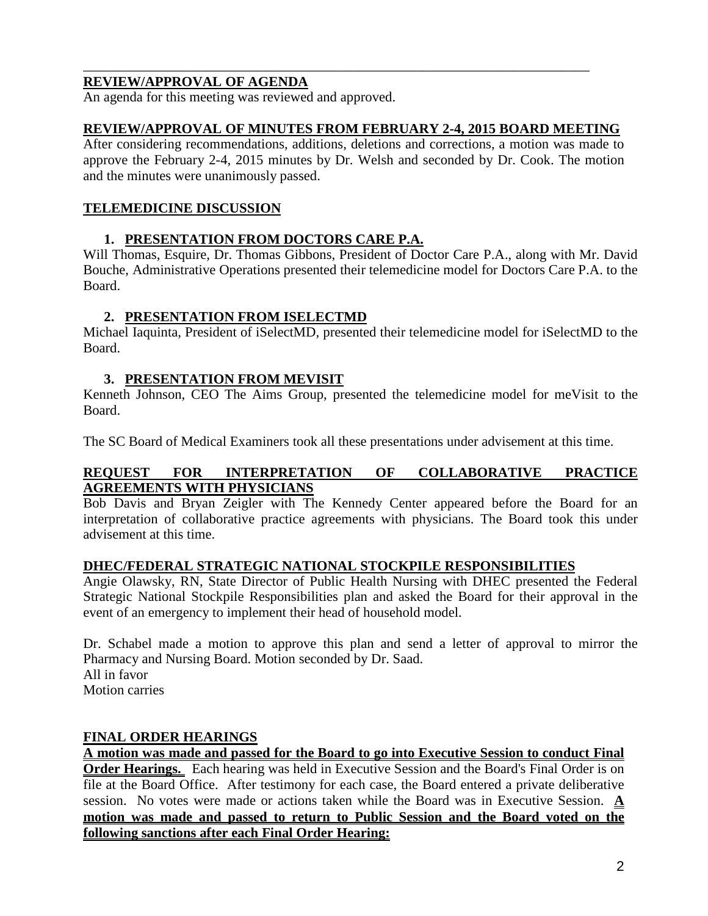# **REVIEW/APPROVAL OF AGENDA**

An agenda for this meeting was reviewed and approved.

## **REVIEW/APPROVAL OF MINUTES FROM FEBRUARY 2-4, 2015 BOARD MEETING**

\_\_\_\_\_\_\_\_\_\_\_\_\_\_\_\_\_\_\_\_\_\_\_\_\_\_\_\_\_\_\_\_\_\_\_\_\_\_\_\_\_\_\_\_\_\_\_\_\_\_\_\_\_\_\_\_\_\_\_\_\_\_\_\_\_\_\_\_\_\_\_\_\_

After considering recommendations, additions, deletions and corrections, a motion was made to approve the February 2-4, 2015 minutes by Dr. Welsh and seconded by Dr. Cook. The motion and the minutes were unanimously passed.

## **TELEMEDICINE DISCUSSION**

# **1. PRESENTATION FROM DOCTORS CARE P.A.**

Will Thomas, Esquire, Dr. Thomas Gibbons, President of Doctor Care P.A., along with Mr. David Bouche, Administrative Operations presented their telemedicine model for Doctors Care P.A. to the Board.

#### **2. PRESENTATION FROM ISELECTMD**

Michael Iaquinta, President of iSelectMD, presented their telemedicine model for iSelectMD to the Board.

#### **3. PRESENTATION FROM MEVISIT**

Kenneth Johnson, CEO The Aims Group, presented the telemedicine model for meVisit to the Board.

The SC Board of Medical Examiners took all these presentations under advisement at this time.

#### **REQUEST FOR INTERPRETATION OF COLLABORATIVE PRACTICE AGREEMENTS WITH PHYSICIANS**

Bob Davis and Bryan Zeigler with The Kennedy Center appeared before the Board for an interpretation of collaborative practice agreements with physicians. The Board took this under advisement at this time.

# **DHEC/FEDERAL STRATEGIC NATIONAL STOCKPILE RESPONSIBILITIES**

Angie Olawsky, RN, State Director of Public Health Nursing with DHEC presented the Federal Strategic National Stockpile Responsibilities plan and asked the Board for their approval in the event of an emergency to implement their head of household model.

Dr. Schabel made a motion to approve this plan and send a letter of approval to mirror the Pharmacy and Nursing Board. Motion seconded by Dr. Saad. All in favor Motion carries

# **FINAL ORDER HEARINGS**

**A motion was made and passed for the Board to go into Executive Session to conduct Final Order Hearings.** Each hearing was held in Executive Session and the Board's Final Order is on file at the Board Office. After testimony for each case, the Board entered a private deliberative session. No votes were made or actions taken while the Board was in Executive Session. **A motion was made and passed to return to Public Session and the Board voted on the following sanctions after each Final Order Hearing:**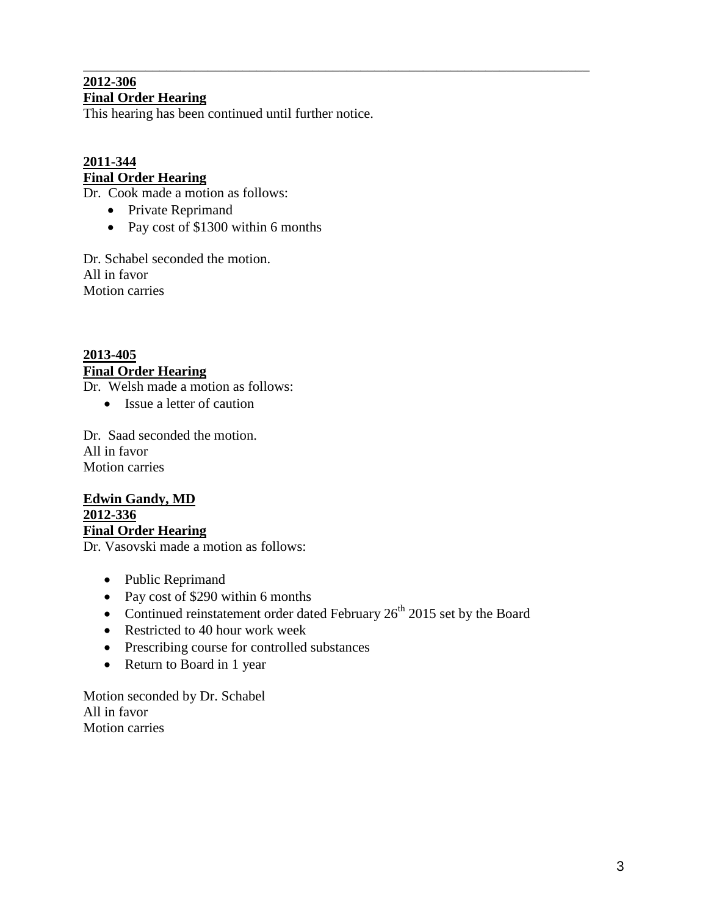#### \_\_\_\_\_\_\_\_\_\_\_\_\_\_\_\_\_\_\_\_\_\_\_\_\_\_\_\_\_\_\_\_\_\_\_\_\_\_\_\_\_\_\_\_\_\_\_\_\_\_\_\_\_\_\_\_\_\_\_\_\_\_\_\_\_\_\_\_\_\_\_\_\_ **2012-306 Final Order Hearing**

This hearing has been continued until further notice.

# **2011-344 Final Order Hearing**

Dr. Cook made a motion as follows:

- Private Reprimand
- Pay cost of \$1300 within 6 months

Dr. Schabel seconded the motion. All in favor Motion carries

# **2013-405 Final Order Hearing**

Dr. Welsh made a motion as follows:

• Issue a letter of caution

Dr. Saad seconded the motion. All in favor Motion carries

**Edwin Gandy, MD 2012-336 Final Order Hearing**

Dr. Vasovski made a motion as follows:

- Public Reprimand
- Pay cost of \$290 within 6 months
- Continued reinstatement order dated February  $26<sup>th</sup>$  2015 set by the Board
- Restricted to 40 hour work week
- Prescribing course for controlled substances
- Return to Board in 1 year

Motion seconded by Dr. Schabel All in favor Motion carries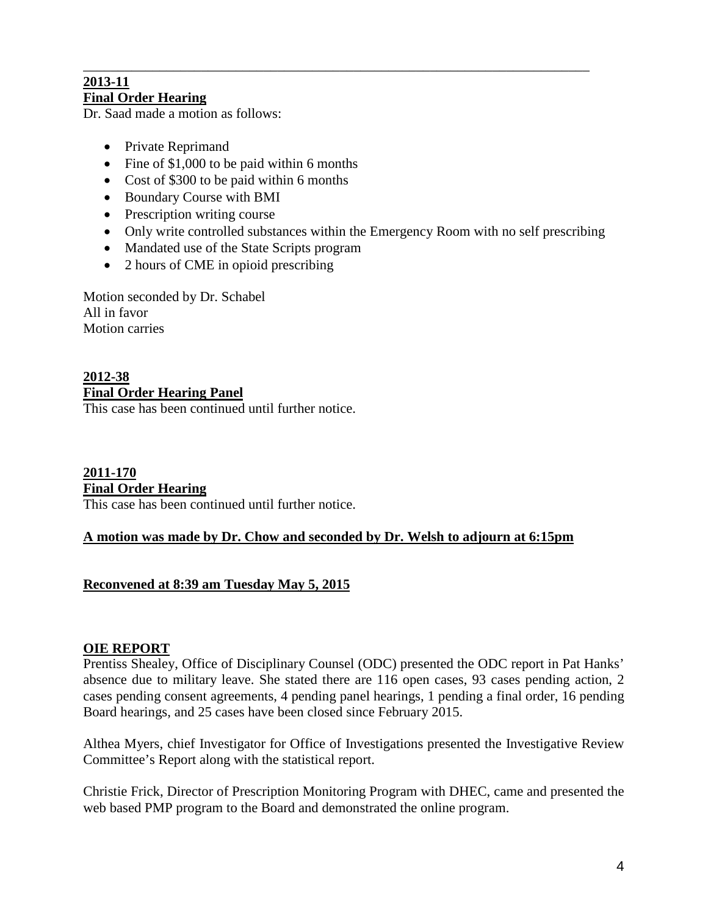#### \_\_\_\_\_\_\_\_\_\_\_\_\_\_\_\_\_\_\_\_\_\_\_\_\_\_\_\_\_\_\_\_\_\_\_\_\_\_\_\_\_\_\_\_\_\_\_\_\_\_\_\_\_\_\_\_\_\_\_\_\_\_\_\_\_\_\_\_\_\_\_\_\_ **2013-11 Final Order Hearing**

Dr. Saad made a motion as follows:

- Private Reprimand
- Fine of \$1,000 to be paid within 6 months
- Cost of \$300 to be paid within 6 months
- Boundary Course with BMI
- Prescription writing course
- Only write controlled substances within the Emergency Room with no self prescribing
- Mandated use of the State Scripts program
- 2 hours of CME in opioid prescribing

Motion seconded by Dr. Schabel All in favor Motion carries

# **2012-38 Final Order Hearing Panel**

This case has been continued until further notice.

# **2011-170 Final Order Hearing**

This case has been continued until further notice.

# **A motion was made by Dr. Chow and seconded by Dr. Welsh to adjourn at 6:15pm**

# **Reconvened at 8:39 am Tuesday May 5, 2015**

# **OIE REPORT**

Prentiss Shealey, Office of Disciplinary Counsel (ODC) presented the ODC report in Pat Hanks' absence due to military leave. She stated there are 116 open cases, 93 cases pending action, 2 cases pending consent agreements, 4 pending panel hearings, 1 pending a final order, 16 pending Board hearings, and 25 cases have been closed since February 2015.

Althea Myers, chief Investigator for Office of Investigations presented the Investigative Review Committee's Report along with the statistical report.

Christie Frick, Director of Prescription Monitoring Program with DHEC, came and presented the web based PMP program to the Board and demonstrated the online program.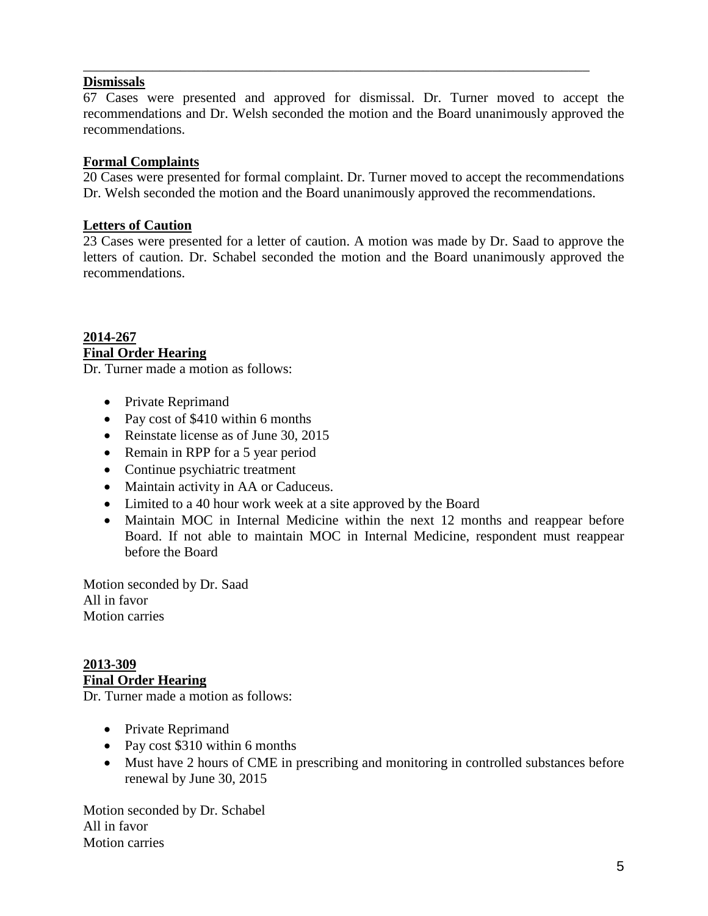# **Dismissals**

67 Cases were presented and approved for dismissal. Dr. Turner moved to accept the recommendations and Dr. Welsh seconded the motion and the Board unanimously approved the recommendations.

\_\_\_\_\_\_\_\_\_\_\_\_\_\_\_\_\_\_\_\_\_\_\_\_\_\_\_\_\_\_\_\_\_\_\_\_\_\_\_\_\_\_\_\_\_\_\_\_\_\_\_\_\_\_\_\_\_\_\_\_\_\_\_\_\_\_\_\_\_\_\_\_\_

## **Formal Complaints**

20 Cases were presented for formal complaint. Dr. Turner moved to accept the recommendations Dr. Welsh seconded the motion and the Board unanimously approved the recommendations.

### **Letters of Caution**

23 Cases were presented for a letter of caution. A motion was made by Dr. Saad to approve the letters of caution. Dr. Schabel seconded the motion and the Board unanimously approved the recommendations.

**2014-267 Final Order Hearing**

Dr. Turner made a motion as follows:

- Private Reprimand
- Pay cost of \$410 within 6 months
- Reinstate license as of June 30, 2015
- Remain in RPP for a 5 year period
- Continue psychiatric treatment
- Maintain activity in AA or Caduceus.
- Limited to a 40 hour work week at a site approved by the Board
- Maintain MOC in Internal Medicine within the next 12 months and reappear before Board. If not able to maintain MOC in Internal Medicine, respondent must reappear before the Board

Motion seconded by Dr. Saad All in favor Motion carries

# **2013-309 Final Order Hearing**

Dr. Turner made a motion as follows:

- Private Reprimand
- Pay cost \$310 within 6 months
- Must have 2 hours of CME in prescribing and monitoring in controlled substances before renewal by June 30, 2015

Motion seconded by Dr. Schabel All in favor Motion carries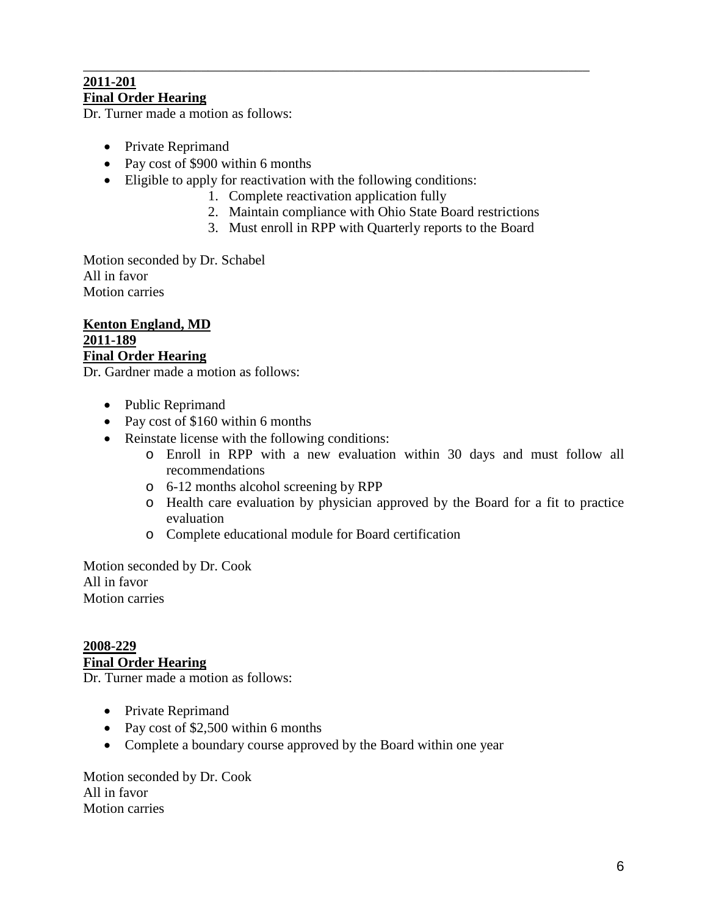# \_\_\_\_\_\_\_\_\_\_\_\_\_\_\_\_\_\_\_\_\_\_\_\_\_\_\_\_\_\_\_\_\_\_\_\_\_\_\_\_\_\_\_\_\_\_\_\_\_\_\_\_\_\_\_\_\_\_\_\_\_\_\_\_\_\_\_\_\_\_\_\_\_ **2011-201**

**Final Order Hearing**

Dr. Turner made a motion as follows:

- Private Reprimand
- Pay cost of \$900 within 6 months
- Eligible to apply for reactivation with the following conditions:
	- 1. Complete reactivation application fully
	- 2. Maintain compliance with Ohio State Board restrictions
	- 3. Must enroll in RPP with Quarterly reports to the Board

Motion seconded by Dr. Schabel All in favor Motion carries

**Kenton England, MD 2011-189 Final Order Hearing**

Dr. Gardner made a motion as follows:

- Public Reprimand
- Pay cost of \$160 within 6 months
- Reinstate license with the following conditions:
	- o Enroll in RPP with a new evaluation within 30 days and must follow all recommendations
	- o 6-12 months alcohol screening by RPP
	- o Health care evaluation by physician approved by the Board for a fit to practice evaluation
	- o Complete educational module for Board certification

Motion seconded by Dr. Cook All in favor Motion carries

**2008-229 Final Order Hearing**

Dr. Turner made a motion as follows:

- Private Reprimand
- Pay cost of \$2,500 within 6 months
- Complete a boundary course approved by the Board within one year

Motion seconded by Dr. Cook All in favor Motion carries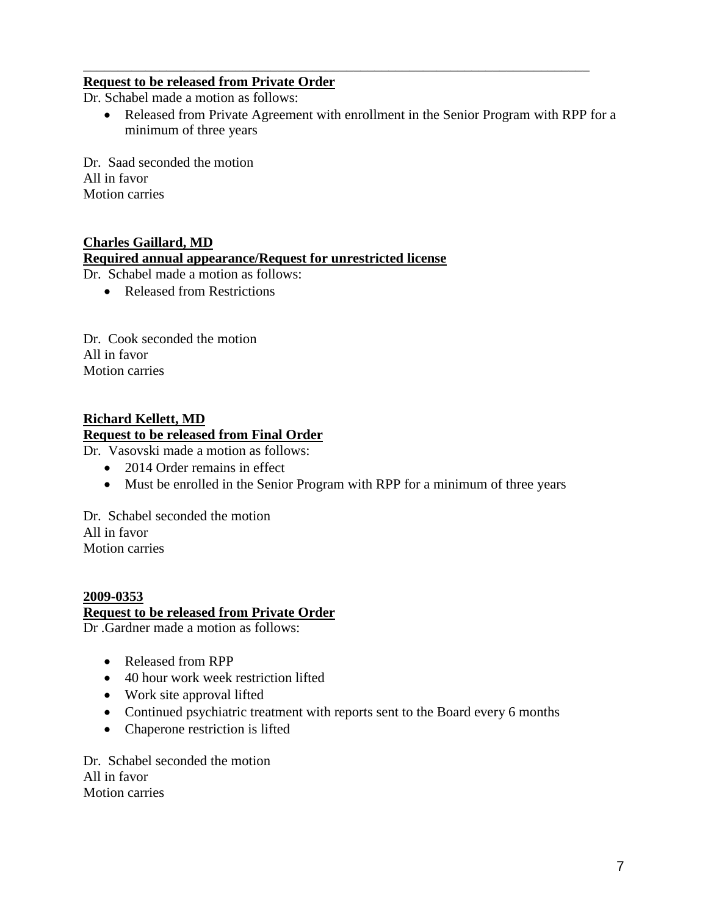# **Request to be released from Private Order**

Dr. Schabel made a motion as follows:

• Released from Private Agreement with enrollment in the Senior Program with RPP for a minimum of three years

\_\_\_\_\_\_\_\_\_\_\_\_\_\_\_\_\_\_\_\_\_\_\_\_\_\_\_\_\_\_\_\_\_\_\_\_\_\_\_\_\_\_\_\_\_\_\_\_\_\_\_\_\_\_\_\_\_\_\_\_\_\_\_\_\_\_\_\_\_\_\_\_\_

Dr. Saad seconded the motion All in favor Motion carries

# **Charles Gaillard, MD**

# **Required annual appearance/Request for unrestricted license**

Dr. Schabel made a motion as follows:

• Released from Restrictions

Dr. Cook seconded the motion All in favor Motion carries

#### **Richard Kellett, MD Request to be released from Final Order**

Dr. Vasovski made a motion as follows:

- 2014 Order remains in effect
- Must be enrolled in the Senior Program with RPP for a minimum of three years

Dr. Schabel seconded the motion All in favor Motion carries

# **2009-0353 Request to be released from Private Order**

Dr .Gardner made a motion as follows:

- Released from RPP
- 40 hour work week restriction lifted
- Work site approval lifted
- Continued psychiatric treatment with reports sent to the Board every 6 months
- Chaperone restriction is lifted

Dr. Schabel seconded the motion All in favor Motion carries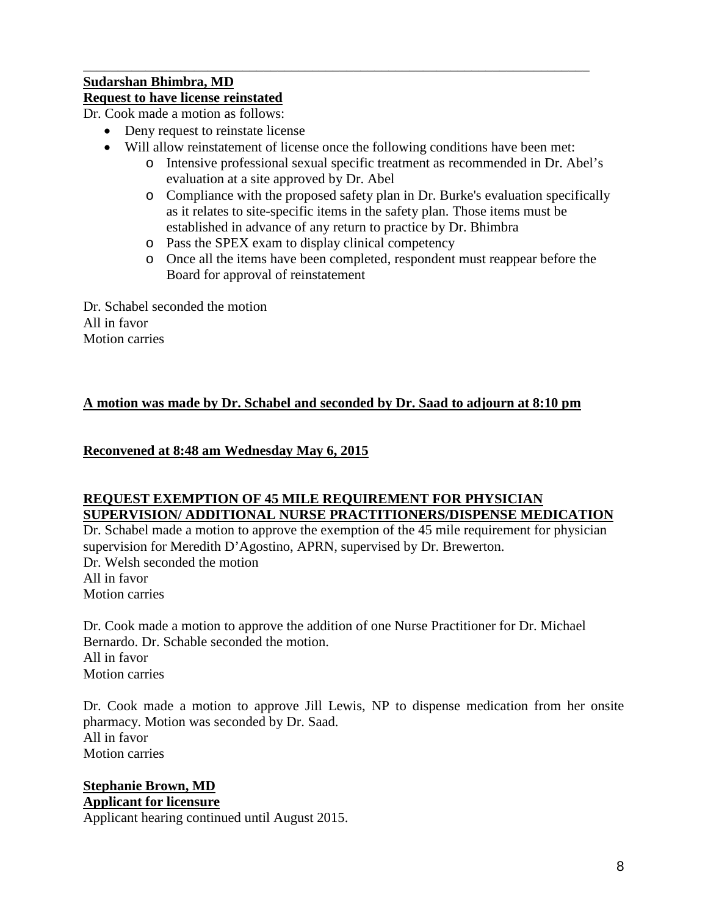# **Sudarshan Bhimbra, MD**

# **Request to have license reinstated**

Dr. Cook made a motion as follows:

- Deny request to reinstate license
- Will allow reinstatement of license once the following conditions have been met:

\_\_\_\_\_\_\_\_\_\_\_\_\_\_\_\_\_\_\_\_\_\_\_\_\_\_\_\_\_\_\_\_\_\_\_\_\_\_\_\_\_\_\_\_\_\_\_\_\_\_\_\_\_\_\_\_\_\_\_\_\_\_\_\_\_\_\_\_\_\_\_\_\_

- o Intensive professional sexual specific treatment as recommended in Dr. Abel's evaluation at a site approved by Dr. Abel
- o Compliance with the proposed safety plan in Dr. Burke's evaluation specifically as it relates to site-specific items in the safety plan. Those items must be established in advance of any return to practice by Dr. Bhimbra
- o Pass the SPEX exam to display clinical competency
- o Once all the items have been completed, respondent must reappear before the Board for approval of reinstatement

Dr. Schabel seconded the motion All in favor Motion carries

# **A motion was made by Dr. Schabel and seconded by Dr. Saad to adjourn at 8:10 pm**

# **Reconvened at 8:48 am Wednesday May 6, 2015**

# **REQUEST EXEMPTION OF 45 MILE REQUIREMENT FOR PHYSICIAN SUPERVISION/ ADDITIONAL NURSE PRACTITIONERS/DISPENSE MEDICATION**

Dr. Schabel made a motion to approve the exemption of the 45 mile requirement for physician supervision for Meredith D'Agostino, APRN, supervised by Dr. Brewerton. Dr. Welsh seconded the motion All in favor Motion carries

Dr. Cook made a motion to approve the addition of one Nurse Practitioner for Dr. Michael Bernardo. Dr. Schable seconded the motion. All in favor Motion carries

Dr. Cook made a motion to approve Jill Lewis, NP to dispense medication from her onsite pharmacy. Motion was seconded by Dr. Saad. All in favor Motion carries

#### **Stephanie Brown, MD Applicant for licensure**

Applicant hearing continued until August 2015.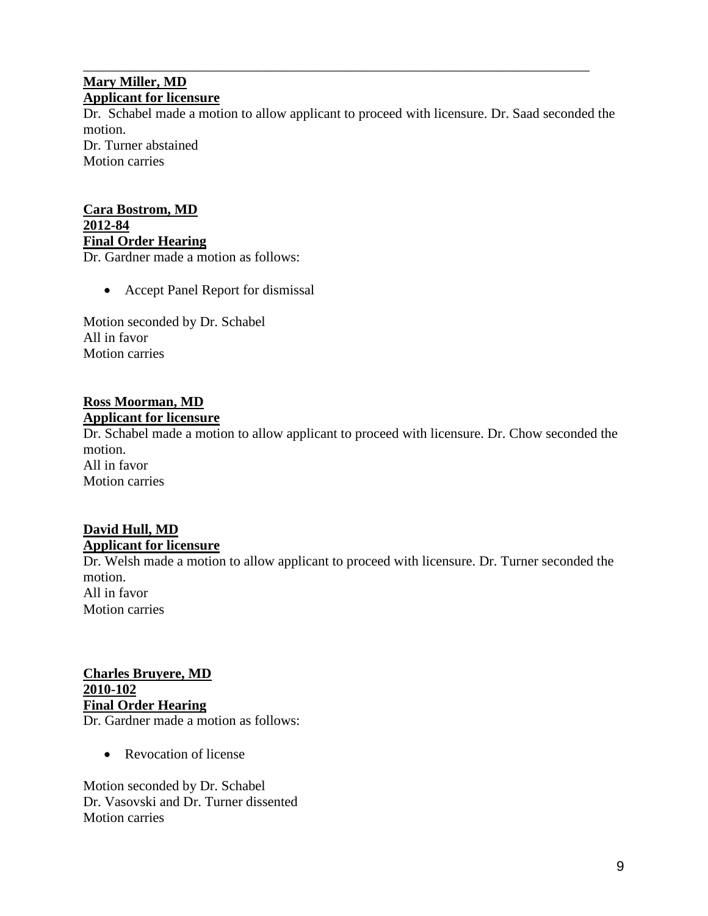#### \_\_\_\_\_\_\_\_\_\_\_\_\_\_\_\_\_\_\_\_\_\_\_\_\_\_\_\_\_\_\_\_\_\_\_\_\_\_\_\_\_\_\_\_\_\_\_\_\_\_\_\_\_\_\_\_\_\_\_\_\_\_\_\_\_\_\_\_\_\_\_\_\_ **Mary Miller, MD Applicant for licensure**

Dr. Schabel made a motion to allow applicant to proceed with licensure. Dr. Saad seconded the motion. Dr. Turner abstained

Motion carries

# **Cara Bostrom, MD 2012-84 Final Order Hearing**

Dr. Gardner made a motion as follows:

• Accept Panel Report for dismissal

Motion seconded by Dr. Schabel All in favor Motion carries

# **Ross Moorman, MD**

#### **Applicant for licensure**

Dr. Schabel made a motion to allow applicant to proceed with licensure. Dr. Chow seconded the motion. All in favor Motion carries

# **David Hull, MD Applicant for licensure**

Dr. Welsh made a motion to allow applicant to proceed with licensure. Dr. Turner seconded the motion. All in favor

Motion carries

**Charles Bruyere, MD 2010-102 Final Order Hearing** Dr. Gardner made a motion as follows:

• Revocation of license

Motion seconded by Dr. Schabel Dr. Vasovski and Dr. Turner dissented Motion carries